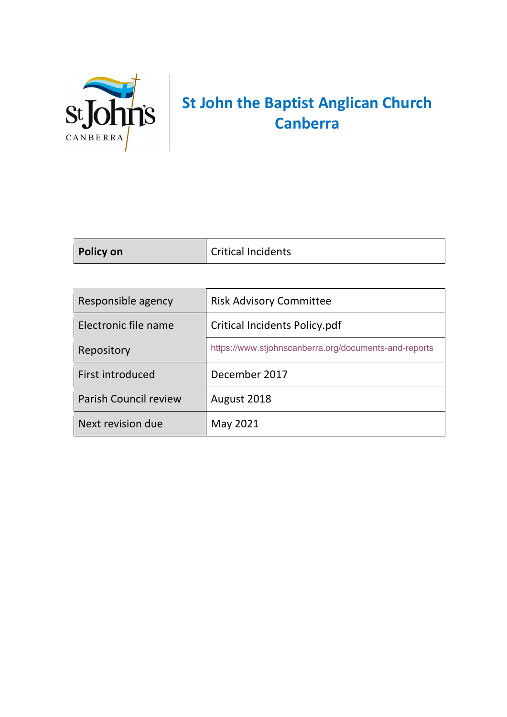

# **St John the Baptist Anglican Church Canberra**

| Policy on | Critical Incidents |
|-----------|--------------------|
|           |                    |

| Responsible agency           | <b>Risk Advisory Committee</b>                        |
|------------------------------|-------------------------------------------------------|
| Electronic file name         | Critical Incidents Policy.pdf                         |
| Repository                   | https://www.stjohnscanberra.org/documents-and-reports |
| First introduced             | December 2017                                         |
| <b>Parish Council review</b> | August 2018                                           |
| Next revision due            | May 2021                                              |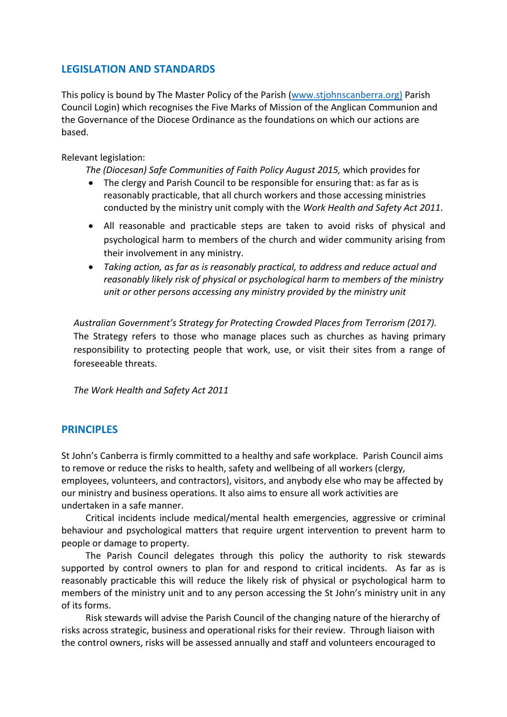# **LEGISLATION AND STANDARDS**

This policy is bound by The Master Policy of the Parish (www.stjohnscanberra.org) Parish Council Login) which recognises the Five Marks of Mission of the Anglican Communion and the Governance of the Diocese Ordinance as the foundations on which our actions are based.

Relevant legislation:

*The (Diocesan) Safe Communities of Faith Policy August 2015,* which provides for

- The clergy and Parish Council to be responsible for ensuring that: as far as is reasonably practicable, that all church workers and those accessing ministries conducted by the ministry unit comply with the *Work Health and Safety Act 2011*.
- All reasonable and practicable steps are taken to avoid risks of physical and psychological harm to members of the church and wider community arising from their involvement in any ministry.
- *Taking action, as far as is reasonably practical, to address and reduce actual and reasonably likely risk of physical or psychological harm to members of the ministry unit or other persons accessing any ministry provided by the ministry unit*

*Australian Government's Strategy for Protecting Crowded Places from Terrorism (2017).*  The Strategy refers to those who manage places such as churches as having primary responsibility to protecting people that work, use, or visit their sites from a range of foreseeable threats.

*The Work Health and Safety Act 2011*

# **PRINCIPLES**

St John's Canberra is firmly committed to a healthy and safe workplace. Parish Council aims to remove or reduce the risks to health, safety and wellbeing of all workers (clergy, employees, volunteers, and contractors), visitors, and anybody else who may be affected by our ministry and business operations. It also aims to ensure all work activities are undertaken in a safe manner.

Critical incidents include medical/mental health emergencies, aggressive or criminal behaviour and psychological matters that require urgent intervention to prevent harm to people or damage to property.

The Parish Council delegates through this policy the authority to risk stewards supported by control owners to plan for and respond to critical incidents. As far as is reasonably practicable this will reduce the likely risk of physical or psychological harm to members of the ministry unit and to any person accessing the St John's ministry unit in any of its forms.

Risk stewards will advise the Parish Council of the changing nature of the hierarchy of risks across strategic, business and operational risks for their review. Through liaison with the control owners, risks will be assessed annually and staff and volunteers encouraged to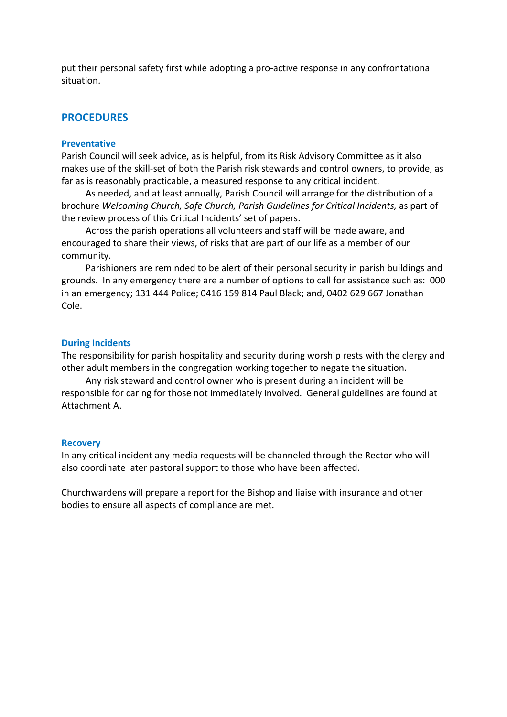put their personal safety first while adopting a pro-active response in any confrontational situation.

### **PROCEDURES**

#### **Preventative**

Parish Council will seek advice, as is helpful, from its Risk Advisory Committee as it also makes use of the skill-set of both the Parish risk stewards and control owners, to provide, as far as is reasonably practicable, a measured response to any critical incident.

As needed, and at least annually, Parish Council will arrange for the distribution of a brochure *Welcoming Church, Safe Church, Parish Guidelines for Critical Incidents,* as part of the review process of this Critical Incidents' set of papers.

Across the parish operations all volunteers and staff will be made aware, and encouraged to share their views, of risks that are part of our life as a member of our community.

Parishioners are reminded to be alert of their personal security in parish buildings and grounds. In any emergency there are a number of options to call for assistance such as: 000 in an emergency; 131 444 Police; 0416 159 814 Paul Black; and, 0402 629 667 Jonathan Cole.

#### **During Incidents**

The responsibility for parish hospitality and security during worship rests with the clergy and other adult members in the congregation working together to negate the situation.

Any risk steward and control owner who is present during an incident will be responsible for caring for those not immediately involved. General guidelines are found at Attachment A.

#### **Recovery**

In any critical incident any media requests will be channeled through the Rector who will also coordinate later pastoral support to those who have been affected.

Churchwardens will prepare a report for the Bishop and liaise with insurance and other bodies to ensure all aspects of compliance are met.